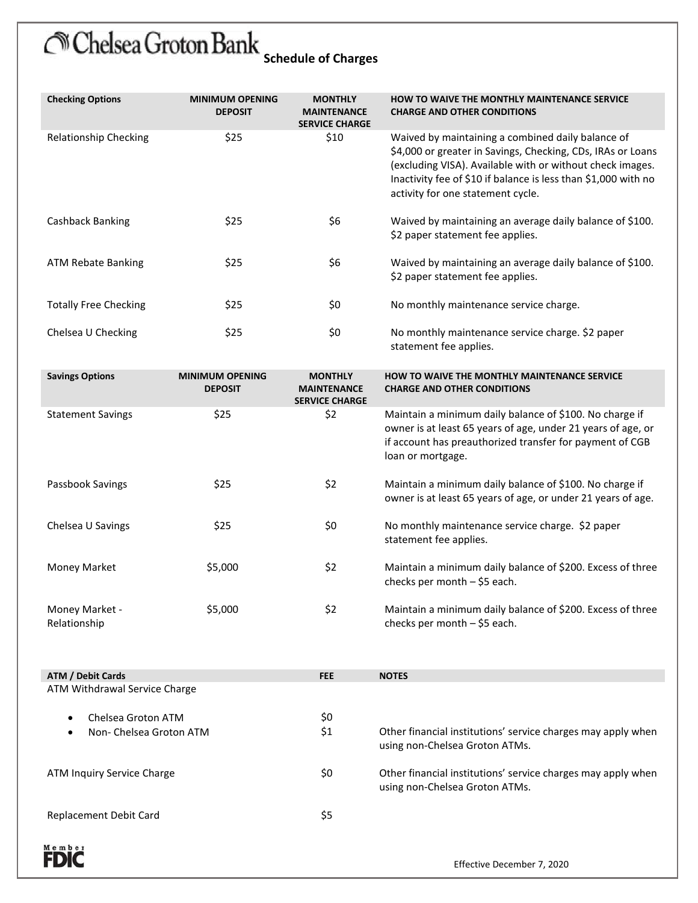## Chelsea Groton Bank schedule of Charges

| <b>Checking Options</b>      | <b>MINIMUM OPENING</b><br><b>DEPOSIT</b> | <b>MONTHLY</b><br><b>MAINTENANCE</b><br><b>SERVICE CHARGE</b> | <b>HOW TO WAIVE THE MONTHLY MAINTENANCE SERVICE</b><br><b>CHARGE AND OTHER CONDITIONS</b>                                                                                                                                                                                            |
|------------------------------|------------------------------------------|---------------------------------------------------------------|--------------------------------------------------------------------------------------------------------------------------------------------------------------------------------------------------------------------------------------------------------------------------------------|
| Relationship Checking        | \$25                                     | \$10                                                          | Waived by maintaining a combined daily balance of<br>\$4,000 or greater in Savings, Checking, CDs, IRAs or Loans<br>(excluding VISA). Available with or without check images.<br>Inactivity fee of \$10 if balance is less than \$1,000 with no<br>activity for one statement cycle. |
| Cashback Banking             | \$25                                     | \$6                                                           | Waived by maintaining an average daily balance of \$100.<br>\$2 paper statement fee applies.                                                                                                                                                                                         |
| ATM Rebate Banking           | \$25                                     | \$6                                                           | Waived by maintaining an average daily balance of \$100.<br>\$2 paper statement fee applies.                                                                                                                                                                                         |
| <b>Totally Free Checking</b> | \$25                                     | \$0                                                           | No monthly maintenance service charge.                                                                                                                                                                                                                                               |
| Chelsea U Checking           | \$25                                     | \$0                                                           | No monthly maintenance service charge. \$2 paper<br>statement fee applies.                                                                                                                                                                                                           |

|                                                            | <b>Savings Options</b>         | <b>MINIMUM OPENING</b><br><b>DEPOSIT</b> | <b>MONTHLY</b><br><b>MAINTENANCE</b><br><b>SERVICE CHARGE</b>                                  | HOW TO WAIVE THE MONTHLY MAINTENANCE SERVICE<br><b>CHARGE AND OTHER CONDITIONS</b>                                                                                                                       |  |
|------------------------------------------------------------|--------------------------------|------------------------------------------|------------------------------------------------------------------------------------------------|----------------------------------------------------------------------------------------------------------------------------------------------------------------------------------------------------------|--|
|                                                            | <b>Statement Savings</b>       | \$25                                     | \$2                                                                                            | Maintain a minimum daily balance of \$100. No charge if<br>owner is at least 65 years of age, under 21 years of age, or<br>if account has preauthorized transfer for payment of CGB<br>loan or mortgage. |  |
|                                                            | Passbook Savings               | \$25                                     | \$2                                                                                            | Maintain a minimum daily balance of \$100. No charge if<br>owner is at least 65 years of age, or under 21 years of age.                                                                                  |  |
|                                                            | Chelsea U Savings              | \$25                                     | \$0                                                                                            | No monthly maintenance service charge. \$2 paper<br>statement fee applies.                                                                                                                               |  |
|                                                            | <b>Money Market</b>            | \$5,000                                  | \$2                                                                                            | Maintain a minimum daily balance of \$200. Excess of three<br>checks per month $-$ \$5 each.                                                                                                             |  |
|                                                            | Money Market -<br>Relationship | \$5,000                                  | \$2                                                                                            | Maintain a minimum daily balance of \$200. Excess of three<br>checks per month $-$ \$5 each.                                                                                                             |  |
|                                                            | <b>ATM / Debit Cards</b>       |                                          | <b>FEE</b>                                                                                     | <b>NOTES</b>                                                                                                                                                                                             |  |
| ATM Withdrawal Service Charge<br>\$0<br>Chelsea Groton ATM |                                |                                          |                                                                                                |                                                                                                                                                                                                          |  |
| Non- Chelsea Groton ATM                                    |                                | \$1                                      | Other financial institutions' service charges may apply when<br>using non-Chelsea Groton ATMs. |                                                                                                                                                                                                          |  |
|                                                            |                                |                                          |                                                                                                |                                                                                                                                                                                                          |  |

ATM Inquiry Service Charge Theorem 20 Other financial institutions' service charges may apply when

Replacement Debit Card \$5

using non-Chelsea Groton ATMs.